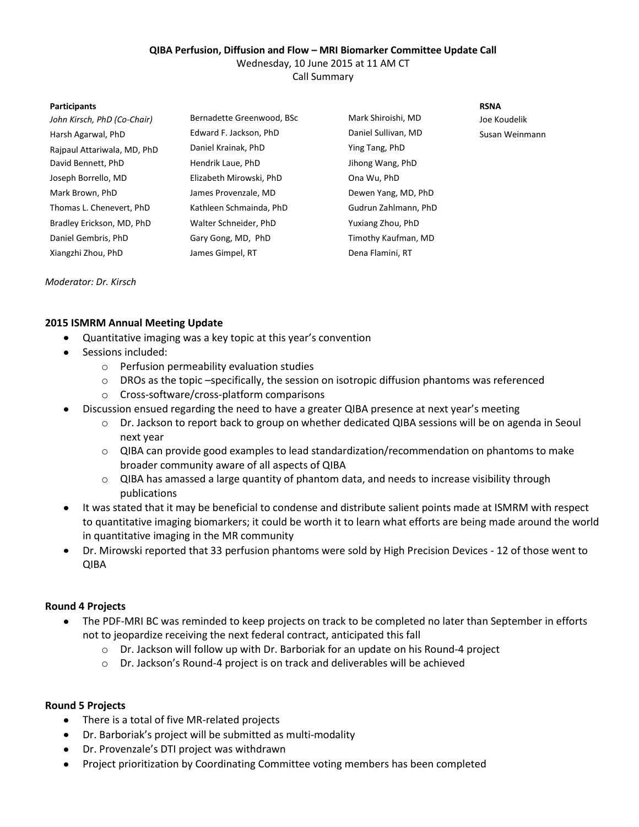# **QIBA Perfusion, Diffusion and Flow – MRI Biomarker Committee Update Call**

Wednesday, 10 June 2015 at 11 AM CT

Call Summary

#### **Participants RSNA**

| John Kirsch, PhD (Co-Chair) | Bernadette Greenwood, BSc | Mark Shiroishi, MD   | Joe Koudelik   |
|-----------------------------|---------------------------|----------------------|----------------|
| Harsh Agarwal, PhD          | Edward F. Jackson, PhD    | Daniel Sullivan, MD  | Susan Weinmann |
| Rajpaul Attariwala, MD, PhD | Daniel Krainak, PhD       | Ying Tang, PhD       |                |
| David Bennett, PhD          | Hendrik Laue, PhD         | Jihong Wang, PhD     |                |
| Joseph Borrello, MD         | Elizabeth Mirowski, PhD   | Ona Wu, PhD          |                |
| Mark Brown, PhD             | James Provenzale, MD      | Dewen Yang, MD, PhD  |                |
| Thomas L. Chenevert, PhD    | Kathleen Schmainda, PhD   | Gudrun Zahlmann, PhD |                |
| Bradley Erickson, MD, PhD   | Walter Schneider, PhD     | Yuxiang Zhou, PhD    |                |
| Daniel Gembris, PhD         | Gary Gong, MD, PhD        | Timothy Kaufman, MD  |                |
| Xiangzhi Zhou, PhD          | James Gimpel, RT          | Dena Flamini, RT     |                |
|                             |                           |                      |                |

*Moderator: Dr. Kirsch*

## **2015 ISMRM Annual Meeting Update**

- $\bullet$ Quantitative imaging was a key topic at this year's convention
- $\bullet$ Sessions included:
	- o Perfusion permeability evaluation studies
	- $\circ$  DROs as the topic –specifically, the session on isotropic diffusion phantoms was referenced
	- o Cross-software/cross-platform comparisons
	- Discussion ensued regarding the need to have a greater QIBA presence at next year's meeting
		- o Dr. Jackson to report back to group on whether dedicated QIBA sessions will be on agenda in Seoul next year
		- o QIBA can provide good examples to lead standardization/recommendation on phantoms to make broader community aware of all aspects of QIBA
		- o QIBA has amassed a large quantity of phantom data, and needs to increase visibility through publications
- It was stated that it may be beneficial to condense and distribute salient points made at ISMRM with respect to quantitative imaging biomarkers; it could be worth it to learn what efforts are being made around the world in quantitative imaging in the MR community
- $\bullet$ Dr. Mirowski reported that 33 perfusion phantoms were sold by High Precision Devices - 12 of those went to QIBA

### **Round 4 Projects**

- The PDF-MRI BC was reminded to keep projects on track to be completed no later than September in efforts  $\bullet$ not to jeopardize receiving the next federal contract, anticipated this fall
	- o Dr. Jackson will follow up with Dr. Barboriak for an update on his Round-4 project
	- o Dr. Jackson's Round-4 project is on track and deliverables will be achieved

### **Round 5 Projects**

- There is a total of five MR-related projects
- Dr. Barboriak's project will be submitted as multi-modality
- Dr. Provenzale's DTI project was withdrawn
- $\bullet$ Project prioritization by Coordinating Committee voting members has been completed